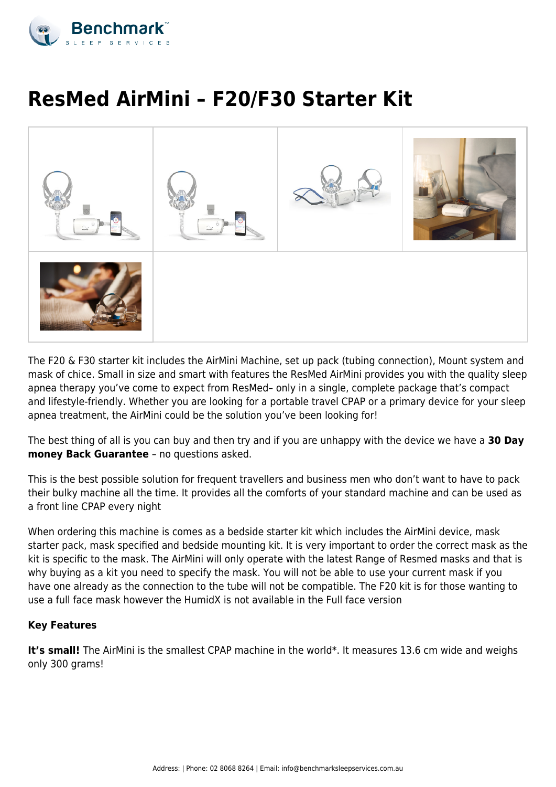

# **ResMed AirMini – F20/F30 Starter Kit**



The F20 & F30 starter kit includes the AirMini Machine, set up pack (tubing connection), Mount system and mask of chice. Small in size and smart with features the ResMed AirMini provides you with the quality sleep apnea therapy you've come to expect from ResMed– only in a single, complete package that's compact and lifestyle-friendly. Whether you are looking for a portable travel CPAP or a primary device for your sleep apnea treatment, the AirMini could be the solution you've been looking for!

The best thing of all is you can buy and then try and if you are unhappy with the device we have a **30 Day money Back Guarantee** – no questions asked.

This is the best possible solution for frequent travellers and business men who don't want to have to pack their bulky machine all the time. It provides all the comforts of your standard machine and can be used as a front line CPAP every night

When ordering this machine is comes as a bedside starter kit which includes the AirMini device, mask starter pack, mask specified and bedside mounting kit. It is very important to order the correct mask as the kit is specific to the mask. The AirMini will only operate with the latest Range of Resmed masks and that is why buying as a kit you need to specify the mask. You will not be able to use your current mask if you have one already as the connection to the tube will not be compatible. The F20 kit is for those wanting to use a full face mask however the HumidX is not available in the Full face version

# **Key Features**

It's small! The AirMini is the smallest CPAP machine in the world\*. It measures 13.6 cm wide and weighs only 300 grams!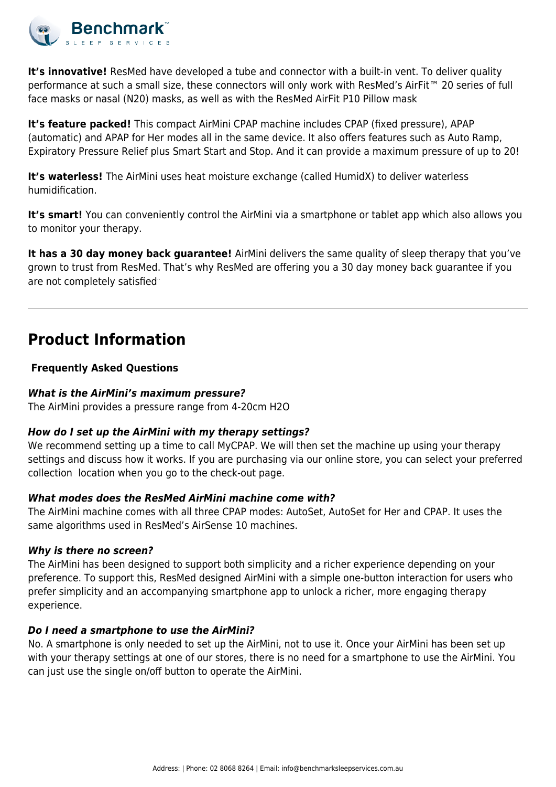

**It's innovative!** ResMed have developed a tube and connector with a built-in vent. To deliver quality performance at such a small size, these connectors will only work with ResMed's AirFit<sup>™</sup> 20 series of full face masks or nasal (N20) masks, as well as with the ResMed AirFit P10 Pillow mask

**It's feature packed!** This compact AirMini CPAP machine includes CPAP (fixed pressure), APAP (automatic) and APAP for Her modes all in the same device. It also offers features such as Auto Ramp, Expiratory Pressure Relief plus Smart Start and Stop. And it can provide a maximum pressure of up to 20!

**It's waterless!** The AirMini uses heat moisture exchange (called HumidX) to deliver waterless humidification.

It's smart! You can conveniently control the AirMini via a smartphone or tablet app which also allows you to monitor your therapy.

**It has a 30 day money back guarantee!** AirMini delivers the same quality of sleep therapy that you've grown to trust from ResMed. That's why ResMed are offering you a 30 day money back guarantee if you are not completely satisfied<sup>..</sup>

# **Product Information**

# **Frequently Asked Questions**

# *What is the AirMini's maximum pressure?*

The AirMini provides a pressure range from 4-20cm H2O

# *How do I set up the AirMini with my therapy settings?*

We recommend setting up a time to call MyCPAP. We will then set the machine up using your therapy settings and discuss how it works. If you are purchasing via our online store, you can select your preferred collection location when you go to the check-out page.

# *What modes does the ResMed AirMini machine come with?*

The AirMini machine comes with all three CPAP modes: AutoSet, AutoSet for Her and CPAP. It uses the same algorithms used in ResMed's AirSense 10 machines.

# *Why is there no screen?*

The AirMini has been designed to support both simplicity and a richer experience depending on your preference. To support this, ResMed designed AirMini with a simple one-button interaction for users who prefer simplicity and an accompanying smartphone app to unlock a richer, more engaging therapy experience.

# *Do I need a smartphone to use the AirMini?*

No. A smartphone is only needed to set up the AirMini, not to use it. Once your AirMini has been set up with your therapy settings at one of our stores, there is no need for a smartphone to use the AirMini. You can just use the single on/off button to operate the AirMini.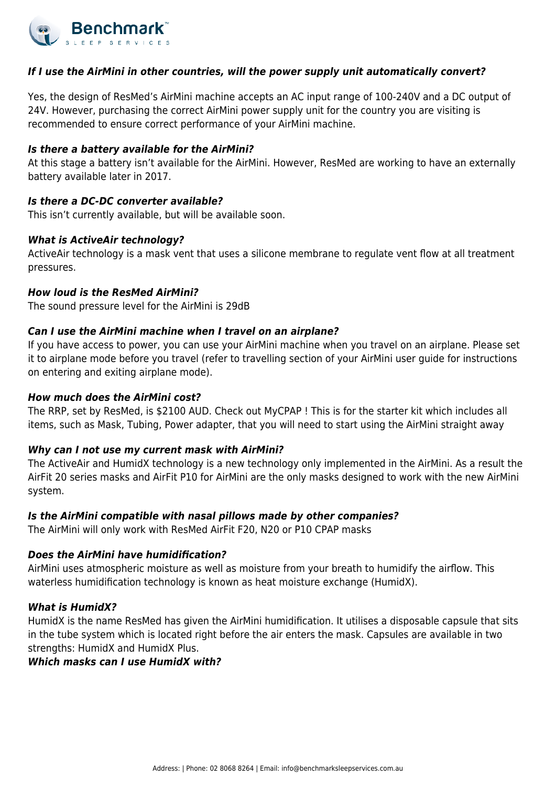

## *If I use the AirMini in other countries, will the power supply unit automatically convert?*

Yes, the design of ResMed's AirMini machine accepts an AC input range of 100-240V and a DC output of 24V. However, purchasing the correct AirMini power supply unit for the country you are visiting is recommended to ensure correct performance of your AirMini machine.

#### *Is there a battery available for the AirMini?*

At this stage a battery isn't available for the AirMini. However, ResMed are working to have an externally battery available later in 2017.

#### *Is there a DC-DC converter available?*

This isn't currently available, but will be available soon.

#### *What is ActiveAir technology?*

ActiveAir technology is a mask vent that uses a silicone membrane to regulate vent flow at all treatment pressures.

#### *How loud is the ResMed AirMini?*

The sound pressure level for the AirMini is 29dB

### *Can I use the AirMini machine when I travel on an airplane?*

If you have access to power, you can use your AirMini machine when you travel on an airplane. Please set it to airplane mode before you travel (refer to travelling section of your AirMini user guide for instructions on entering and exiting airplane mode).

#### *How much does the AirMini cost?*

The RRP, set by ResMed, is \$2100 AUD. Check out MyCPAP ! This is for the starter kit which includes all items, such as Mask, Tubing, Power adapter, that you will need to start using the AirMini straight away

#### *Why can I not use my current mask with AirMini?*

The ActiveAir and HumidX technology is a new technology only implemented in the AirMini. As a result the AirFit 20 series masks and AirFit P10 for AirMini are the only masks designed to work with the new AirMini system.

#### *Is the AirMini compatible with nasal pillows made by other companies?*

The AirMini will only work with ResMed AirFit F20, N20 or P10 CPAP masks

#### *Does the AirMini have humidification?*

AirMini uses atmospheric moisture as well as moisture from your breath to humidify the airflow. This waterless humidification technology is known as heat moisture exchange (HumidX).

#### *What is HumidX?*

HumidX is the name ResMed has given the AirMini humidification. It utilises a disposable capsule that sits in the tube system which is located right before the air enters the mask. Capsules are available in two strengths: HumidX and HumidX Plus.

#### *Which masks can I use HumidX with?*